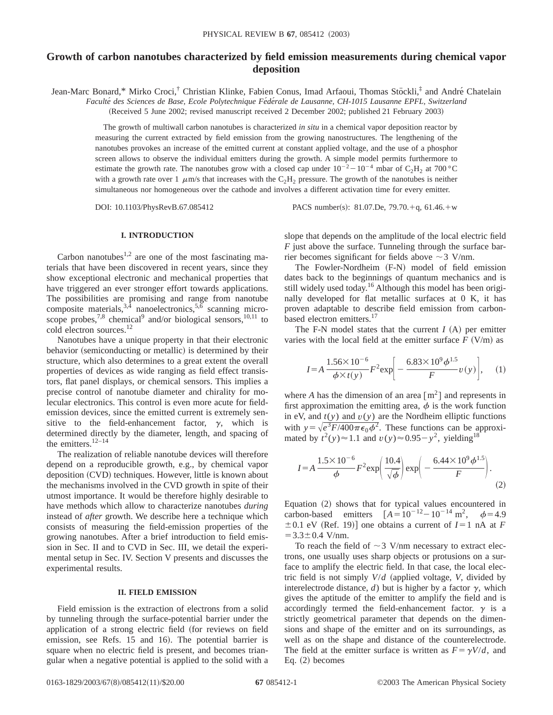# **Growth of carbon nanotubes characterized by field emission measurements during chemical vapor deposition**

Jean-Marc Bonard,\* Mirko Croci,<sup>†</sup> Christian Klinke, Fabien Conus, Imad Arfaoui, Thomas Stöckli,<sup>‡</sup> and André Chatelain

Faculté des Sciences de Base, Ecole Polytechnique Fédérale de Lausanne, CH-1015 Lausanne EPFL, Switzerland

(Received 5 June 2002; revised manuscript received 2 December 2002; published 21 February 2003)

The growth of multiwall carbon nanotubes is characterized *in situ* in a chemical vapor deposition reactor by measuring the current extracted by field emission from the growing nanostructures. The lengthening of the nanotubes provokes an increase of the emitted current at constant applied voltage, and the use of a phosphor screen allows to observe the individual emitters during the growth. A simple model permits furthermore to estimate the growth rate. The nanotubes grow with a closed cap under  $10^{-2} - 10^{-4}$  mbar of C<sub>2</sub>H<sub>2</sub> at 700 °C with a growth rate over 1  $\mu$ m/s that increases with the C<sub>2</sub>H<sub>2</sub> pressure. The growth of the nanotubes is neither simultaneous nor homogeneous over the cathode and involves a different activation time for every emitter.

DOI: 10.1103/PhysRevB.67.085412 PACS number(s): 81.07.De, 79.70.+q, 61.46.+w

# **I. INTRODUCTION**

Carbon nanotubes<sup>1,2</sup> are one of the most fascinating materials that have been discovered in recent years, since they show exceptional electronic and mechanical properties that have triggered an ever stronger effort towards applications. The possibilities are promising and range from nanotube composite materials,  $3,4$  nanoelectronics,  $5,6$  scanning microscope probes,<sup>7,8</sup> chemical<sup>9</sup> and/or biological sensors,<sup>10,11</sup> to cold electron sources.<sup>12</sup>

Nanotubes have a unique property in that their electronic behavior (semiconducting or metallic) is determined by their structure, which also determines to a great extent the overall properties of devices as wide ranging as field effect transistors, flat panel displays, or chemical sensors. This implies a precise control of nanotube diameter and chirality for molecular electronics. This control is even more acute for fieldemission devices, since the emitted current is extremely sensitive to the field-enhancement factor,  $\gamma$ , which is determined directly by the diameter, length, and spacing of the emitters. $12-14$ 

The realization of reliable nanotube devices will therefore depend on a reproducible growth, e.g., by chemical vapor deposition (CVD) techniques. However, little is known about the mechanisms involved in the CVD growth in spite of their utmost importance. It would be therefore highly desirable to have methods which allow to characterize nanotubes *during* instead of *after* growth. We describe here a technique which consists of measuring the field-emission properties of the growing nanotubes. After a brief introduction to field emission in Sec. II and to CVD in Sec. III, we detail the experimental setup in Sec. IV. Section V presents and discusses the experimental results.

# **II. FIELD EMISSION**

Field emission is the extraction of electrons from a solid by tunneling through the surface-potential barrier under the application of a strong electric field (for reviews on field emission, see Refs. 15 and 16). The potential barrier is square when no electric field is present, and becomes triangular when a negative potential is applied to the solid with a slope that depends on the amplitude of the local electric field *F* just above the surface. Tunneling through the surface barrier becomes significant for fields above  $\sim$  3 V/nm.

The Fowler-Nordheim (F-N) model of field emission dates back to the beginnings of quantum mechanics and is still widely used today.<sup>16</sup> Although this model has been originally developed for flat metallic surfaces at 0 K, it has proven adaptable to describe field emission from carbonbased electron emitters.<sup>17</sup>

The F-N model states that the current  $I(A)$  per emitter varies with the local field at the emitter surface  $F (V/m)$  as

$$
I = A \frac{1.56 \times 10^{-6}}{\phi \times t(y)} F^2 \exp\left[-\frac{6.83 \times 10^9 \phi^{1.5}}{F} v(y)\right], \quad (1)
$$

where *A* has the dimension of an area  $\lceil m^2 \rceil$  and represents in first approximation the emitting area,  $\phi$  is the work function in eV, and  $t(y)$  and  $v(y)$  are the Nordheim elliptic functions with  $y = \sqrt{e^3F/400\pi\epsilon_0\phi^2}$ . These functions can be approximated by  $t^2(y) \approx 1.1$  and  $v(y) \approx 0.95 - y^2$ , yielding<sup>18</sup>

$$
I = A \frac{1.5 \times 10^{-6}}{\phi} F^2 \exp\left(\frac{10.4}{\sqrt{\phi}}\right) \exp\left(-\frac{6.44 \times 10^9 \phi^{1.5}}{F}\right).
$$
 (2)

Equation  $(2)$  shows that for typical values encountered in carbon-based emitters  $[A = 10^{-12} - 10^{-14} \text{ m}^2, \phi = 4.9$  $\pm 0.1$  eV (Ref. 19)] one obtains a current of  $I=1$  nA at *F*  $=3.3\pm0.4$  V/nm.

To reach the field of  $\sim$  3 V/nm necessary to extract electrons, one usually uses sharp objects or protusions on a surface to amplify the electric field. In that case, the local electric field is not simply  $V/d$  (applied voltage, *V*, divided by interelectrode distance,  $d$ ) but is higher by a factor  $\gamma$ , which gives the aptitude of the emitter to amplify the field and is accordingly termed the field-enhancement factor.  $\gamma$  is a strictly geometrical parameter that depends on the dimensions and shape of the emitter and on its surroundings, as well as on the shape and distance of the counterelectrode. The field at the emitter surface is written as  $F = \gamma V/d$ , and Eq.  $(2)$  becomes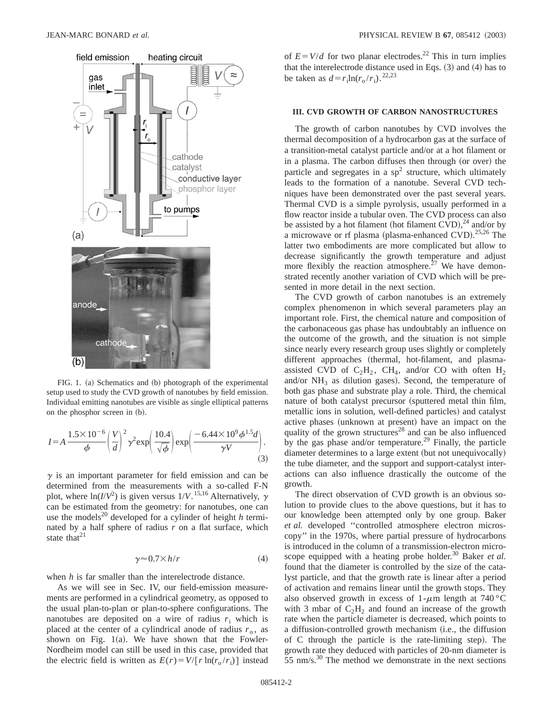

FIG. 1. (a) Schematics and (b) photograph of the experimental setup used to study the CVD growth of nanotubes by field emission. Individual emitting nanotubes are visible as single elliptical patterns on the phosphor screen in (b).

$$
I = A \frac{1.5 \times 10^{-6}}{\phi} \left(\frac{V}{d}\right)^2 \gamma^2 \exp\left(\frac{10.4}{\sqrt{\phi}}\right) \exp\left(\frac{-6.44 \times 10^9 \phi^{1.5} d}{\gamma V}\right). \tag{3}
$$

 $\gamma$  is an important parameter for field emission and can be determined from the measurements with a so-called F-N plot, where  $ln(I/V^2)$  is given versus  $1/V$ .<sup>15,16</sup> Alternatively,  $\gamma$ can be estimated from the geometry: for nanotubes, one can use the models<sup>20</sup> developed for a cylinder of height  $h$  terminated by a half sphere of radius *r* on a flat surface, which state that $^{21}$ 

$$
\gamma \approx 0.7 \times h/r \tag{4}
$$

when *h* is far smaller than the interelectrode distance.

As we will see in Sec. IV, our field-emission measurements are performed in a cylindrical geometry, as opposed to the usual plan-to-plan or plan-to-sphere configurations. The nanotubes are deposited on a wire of radius  $r_i$  which is placed at the center of a cylindrical anode of radius  $r_0$ , as shown on Fig.  $1(a)$ . We have shown that the Fowler-Nordheim model can still be used in this case, provided that the electric field is written as  $E(r) = V/[r \ln(r_0 / r_i)]$  instead of  $E=V/d$  for two planar electrodes.<sup>22</sup> This in turn implies that the interelectrode distance used in Eqs.  $(3)$  and  $(4)$  has to be taken as  $d = r_1 \ln(r_0 / r_1)$ .<sup>22,23</sup>

#### **III. CVD GROWTH OF CARBON NANOSTRUCTURES**

The growth of carbon nanotubes by CVD involves the thermal decomposition of a hydrocarbon gas at the surface of a transition-metal catalyst particle and/or at a hot filament or in a plasma. The carbon diffuses then through (or over) the particle and segregates in a  $sp<sup>2</sup>$  structure, which ultimately leads to the formation of a nanotube. Several CVD techniques have been demonstrated over the past several years. Thermal CVD is a simple pyrolysis, usually performed in a flow reactor inside a tubular oven. The CVD process can also be assisted by a hot filament (hot filament  $CVD$ ),<sup>24</sup> and/or by a microwave or rf plasma (plasma-enhanced CVD).<sup>25,26</sup> The latter two embodiments are more complicated but allow to decrease significantly the growth temperature and adjust more flexibly the reaction atmosphere.<sup>27</sup> We have demonstrated recently another variation of CVD which will be presented in more detail in the next section.

The CVD growth of carbon nanotubes is an extremely complex phenomenon in which several parameters play an important role. First, the chemical nature and composition of the carbonaceous gas phase has undoubtably an influence on the outcome of the growth, and the situation is not simple since nearly every research group uses slightly or completely different approaches (thermal, hot-filament, and plasmaassisted CVD of  $C_2H_2$ , CH<sub>4</sub>, and/or CO with often  $H_2$ and/or  $NH_3$  as dilution gases). Second, the temperature of both gas phase and substrate play a role. Third, the chemical nature of both catalyst precursor (sputtered metal thin film, metallic ions in solution, well-defined particles) and catalyst active phases (unknown at present) have an impact on the quality of the grown structures<sup>28</sup> and can be also influenced by the gas phase and/or temperature.<sup>29</sup> Finally, the particle diameter determines to a large extent (but not unequivocally) the tube diameter, and the support and support-catalyst interactions can also influence drastically the outcome of the growth.

The direct observation of CVD growth is an obvious solution to provide clues to the above questions, but it has to our knowledge been attempted only by one group. Baker *et al.* developed ''controlled atmosphere electron microscopy'' in the 1970s, where partial pressure of hydrocarbons is introduced in the column of a transmission-electron microscope equipped with a heating probe holder.<sup>30</sup> Baker *et al.* found that the diameter is controlled by the size of the catalyst particle, and that the growth rate is linear after a period of activation and remains linear until the growth stops. They also observed growth in excess of  $1-\mu m$  length at 740 °C with 3 mbar of  $C_2H_2$  and found an increase of the growth rate when the particle diameter is decreased, which points to a diffusion-controlled growth mechanism (i.e., the diffusion of  $C$  through the particle is the rate-limiting step). The growth rate they deduced with particles of 20-nm diameter is 55 nm/s. $^{30}$  The method we demonstrate in the next sections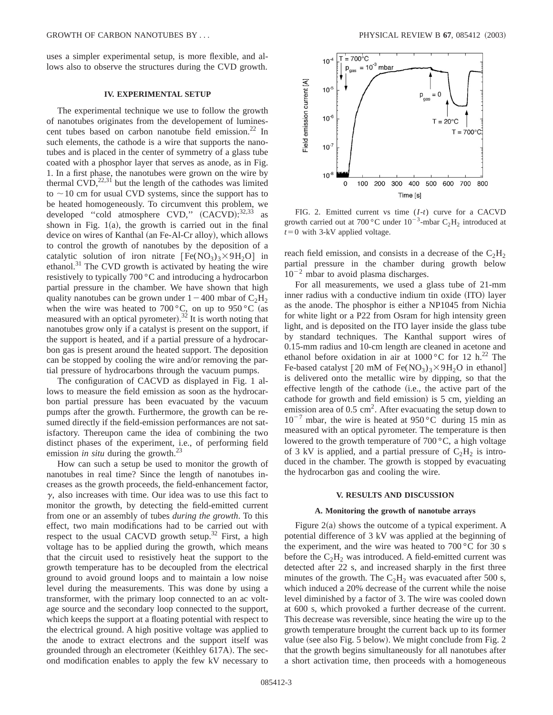uses a simpler experimental setup, is more flexible, and allows also to observe the structures during the CVD growth.

### **IV. EXPERIMENTAL SETUP**

The experimental technique we use to follow the growth of nanotubes originates from the developement of luminescent tubes based on carbon nanotube field emission.<sup>22</sup> In such elements, the cathode is a wire that supports the nanotubes and is placed in the center of symmetry of a glass tube coated with a phosphor layer that serves as anode, as in Fig. 1. In a first phase, the nanotubes were grown on the wire by thermal  $CVD$ ,<sup>22,31</sup> but the length of the cathodes was limited to  $\sim$  10 cm for usual CVD systems, since the support has to be heated homogeneously. To circumvent this problem, we developed "cold atmosphere  $CVD$ ,"  $(CACVD)$ :  $32,33$  as shown in Fig.  $1(a)$ , the growth is carried out in the final device on wires of Kanthal (an Fe-Al-Cr alloy), which allows to control the growth of nanotubes by the deposition of a catalytic solution of iron nitrate  $[Fe(NO<sub>3</sub>)<sub>3</sub> \times 9H<sub>2</sub>O]$  in ethanol. $31$  The CVD growth is activated by heating the wire resistively to typically 700 °C and introducing a hydrocarbon partial pressure in the chamber. We have shown that high quality nanotubes can be grown under  $1-400$  mbar of  $C_2H_2$ when the wire was heated to  $700\,^{\circ}\text{C}$ , on up to  $950\,^{\circ}\text{C}$  (as measured with an optical pyrometer).<sup>32</sup> It is worth noting that nanotubes grow only if a catalyst is present on the support, if the support is heated, and if a partial pressure of a hydrocarbon gas is present around the heated support. The deposition can be stopped by cooling the wire and/or removing the partial pressure of hydrocarbons through the vacuum pumps.

The configuration of CACVD as displayed in Fig. 1 allows to measure the field emission as soon as the hydrocarbon partial pressure has been evacuated by the vacuum pumps after the growth. Furthermore, the growth can be resumed directly if the field-emission performances are not satisfactory. Thereupon came the idea of combining the two distinct phases of the experiment, i.e., of performing field emission *in situ* during the growth.<sup>23</sup>

How can such a setup be used to monitor the growth of nanotubes in real time? Since the length of nanotubes increases as the growth proceeds, the field-enhancement factor,  $\gamma$ , also increases with time. Our idea was to use this fact to monitor the growth, by detecting the field-emitted current from one or an assembly of tubes *during the growth*. To this effect, two main modifications had to be carried out with respect to the usual CACVD growth setup.<sup>32</sup> First, a high voltage has to be applied during the growth, which means that the circuit used to resistively heat the support to the growth temperature has to be decoupled from the electrical ground to avoid ground loops and to maintain a low noise level during the measurements. This was done by using a transformer, with the primary loop connected to an ac voltage source and the secondary loop connected to the support, which keeps the support at a floating potential with respect to the electrical ground. A high positive voltage was applied to the anode to extract electrons and the support itself was grounded through an electrometer (Keithley 617A). The second modification enables to apply the few kV necessary to



FIG. 2. Emitted current vs time (*I*-*t*) curve for a CACVD growth carried out at 700 °C under  $10^{-3}$ -mbar C<sub>2</sub>H<sub>2</sub> introduced at  $t=0$  with 3-kV applied voltage.

reach field emission, and consists in a decrease of the  $C_2H_2$ partial pressure in the chamber during growth below  $10^{-2}$  mbar to avoid plasma discharges.

For all measurements, we used a glass tube of 21-mm inner radius with a conductive indium tin oxide (ITO) layer as the anode. The phosphor is either a NP1045 from Nichia for white light or a P22 from Osram for high intensity green light, and is deposited on the ITO layer inside the glass tube by standard techniques. The Kanthal support wires of 0.15-mm radius and 10-cm length are cleaned in acetone and ethanol before oxidation in air at  $1000\,^{\circ}$ C for 12 h.<sup>22</sup> The Fe-based catalyst [20 mM of Fe(NO<sub>3</sub>)<sub>3</sub>×9H<sub>2</sub>O in ethanol] is delivered onto the metallic wire by dipping, so that the effective length of the cathode (*i.e.*, the active part of the cathode for growth and field emission) is 5 cm, yielding an emission area of  $0.5 \text{ cm}^2$ . After evacuating the setup down to  $10^{-7}$  mbar, the wire is heated at 950 °C during 15 min as measured with an optical pyrometer. The temperature is then lowered to the growth temperature of 700 °C, a high voltage of 3 kV is applied, and a partial pressure of  $C_2H_2$  is introduced in the chamber. The growth is stopped by evacuating the hydrocarbon gas and cooling the wire.

#### **V. RESULTS AND DISCUSSION**

#### **A. Monitoring the growth of nanotube arrays**

Figure  $2(a)$  shows the outcome of a typical experiment. A potential difference of 3 kV was applied at the beginning of the experiment, and the wire was heated to  $700\degree C$  for 30 s before the  $C_2H_2$  was introduced. A field-emitted current was detected after 22 s, and increased sharply in the first three minutes of the growth. The  $C_2H_2$  was evacuated after 500 s, which induced a 20% decrease of the current while the noise level diminished by a factor of 3. The wire was cooled down at 600 s, which provoked a further decrease of the current. This decrease was reversible, since heating the wire up to the growth temperature brought the current back up to its former value (see also Fig. 5 below). We might conclude from Fig. 2 that the growth begins simultaneously for all nanotubes after a short activation time, then proceeds with a homogeneous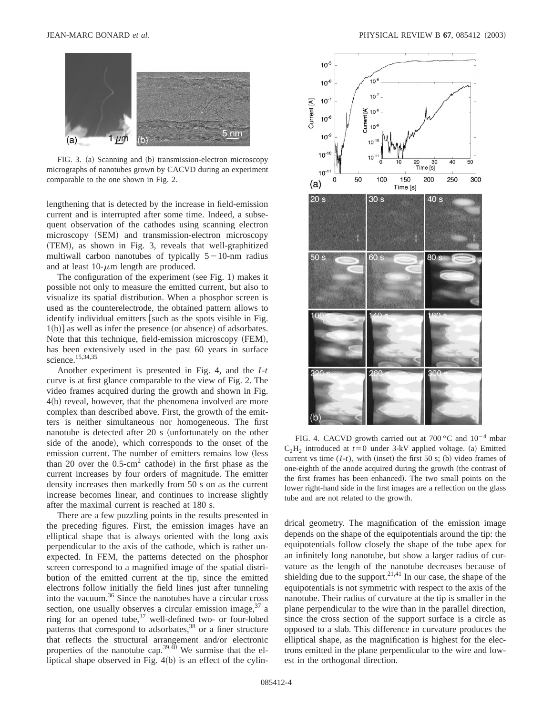

FIG. 3. (a) Scanning and (b) transmission-electron microscopy micrographs of nanotubes grown by CACVD during an experiment comparable to the one shown in Fig. 2.

lengthening that is detected by the increase in field-emission current and is interrupted after some time. Indeed, a subsequent observation of the cathodes using scanning electron microscopy (SEM) and transmission-electron microscopy (TEM), as shown in Fig. 3, reveals that well-graphitized multiwall carbon nanotubes of typically  $5-10$ -nm radius and at least  $10$ - $\mu$ m length are produced.

The configuration of the experiment (see Fig. 1) makes it possible not only to measure the emitted current, but also to visualize its spatial distribution. When a phosphor screen is used as the counterelectrode, the obtained pattern allows to identify individual emitters such as the spots visible in Fig.  $1(b)$ ] as well as infer the presence (or absence) of adsorbates. Note that this technique, field-emission microscopy (FEM), has been extensively used in the past 60 years in surface science.15,34,35

Another experiment is presented in Fig. 4, and the *I*-*t* curve is at first glance comparable to the view of Fig. 2. The video frames acquired during the growth and shown in Fig.  $4(b)$  reveal, however, that the phenomena involved are more complex than described above. First, the growth of the emitters is neither simultaneous nor homogeneous. The first nanotube is detected after  $20 s$  (unfortunately on the other side of the anode), which corresponds to the onset of the emission current. The number of emitters remains low (less than 20 over the  $0.5$ -cm<sup>2</sup> cathode) in the first phase as the current increases by four orders of magnitude. The emitter density increases then markedly from 50 s on as the current increase becomes linear, and continues to increase slightly after the maximal current is reached at 180 s.

There are a few puzzling points in the results presented in the preceding figures. First, the emission images have an elliptical shape that is always oriented with the long axis perpendicular to the axis of the cathode, which is rather unexpected. In FEM, the patterns detected on the phosphor screen correspond to a magnified image of the spatial distribution of the emitted current at the tip, since the emitted electrons follow initially the field lines just after tunneling into the vacuum.36 Since the nanotubes have a circular cross section, one usually observes a circular emission image,  $37$  a ring for an opened tube,37 well-defined two- or four-lobed patterns that correspond to adsorbates,38 or a finer structure that reflects the structural arrangement and/or electronic properties of the nanotube cap.<sup>39,40</sup> We surmise that the elliptical shape observed in Fig.  $4(b)$  is an effect of the cylin-



FIG. 4. CACVD growth carried out at  $700\degree$ C and  $10^{-4}$  mbar  $C_2H_2$  introduced at  $t=0$  under 3-kV applied voltage. (a) Emitted current vs time  $(I-t)$ , with (inset) the first 50 s; (b) video frames of one-eighth of the anode acquired during the growth (the contrast of the first frames has been enhanced). The two small points on the lower right-hand side in the first images are a reflection on the glass tube and are not related to the growth.

drical geometry. The magnification of the emission image depends on the shape of the equipotentials around the tip: the equipotentials follow closely the shape of the tube apex for an infinitely long nanotube, but show a larger radius of curvature as the length of the nanotube decreases because of shielding due to the support.<sup>21,41</sup> In our case, the shape of the equipotentials is not symmetric with respect to the axis of the nanotube. Their radius of curvature at the tip is smaller in the plane perpendicular to the wire than in the parallel direction, since the cross section of the support surface is a circle as opposed to a slab. This difference in curvature produces the elliptical shape, as the magnification is highest for the electrons emitted in the plane perpendicular to the wire and lowest in the orthogonal direction.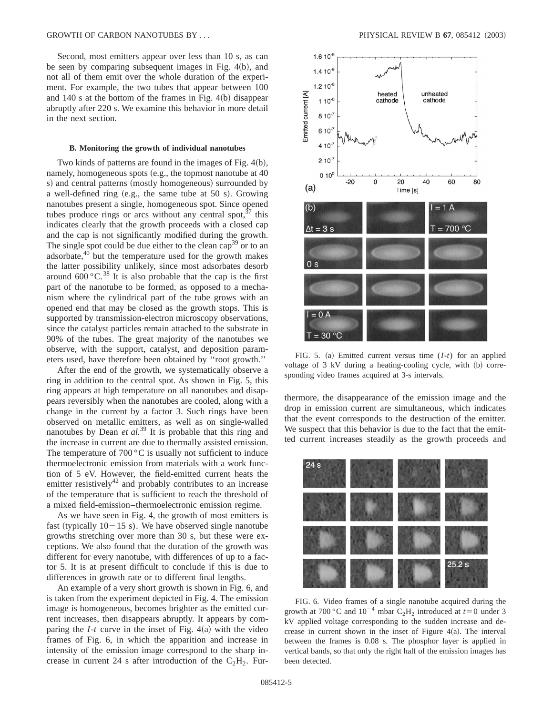Second, most emitters appear over less than 10 s, as can be seen by comparing subsequent images in Fig.  $4(b)$ , and not all of them emit over the whole duration of the experiment. For example, the two tubes that appear between 100 and  $140$  s at the bottom of the frames in Fig.  $4(b)$  disappear abruptly after 220 s. We examine this behavior in more detail in the next section.

### **B. Monitoring the growth of individual nanotubes**

Two kinds of patterns are found in the images of Fig.  $4(b)$ , namely, homogeneous spots  $(e.g., the topmost nanotube at 40$ s) and central patterns (mostly homogeneous) surrounded by a well-defined ring  $(e.g., the same tube at 50 s)$ . Growing nanotubes present a single, homogeneous spot. Since opened tubes produce rings or arcs without any central spot, $37$  this indicates clearly that the growth proceeds with a closed cap and the cap is not significantly modified during the growth. The single spot could be due either to the clean  $\text{cap}^{39}$  or to an adsorbate, $40$  but the temperature used for the growth makes the latter possibility unlikely, since most adsorbates desorb around  $600^{\circ}$ C.<sup>38</sup> It is also probable that the cap is the first part of the nanotube to be formed, as opposed to a mechanism where the cylindrical part of the tube grows with an opened end that may be closed as the growth stops. This is supported by transmission-electron microscopy observations, since the catalyst particles remain attached to the substrate in 90% of the tubes. The great majority of the nanotubes we observe, with the support, catalyst, and deposition parameters used, have therefore been obtained by ''root growth.''

After the end of the growth, we systematically observe a ring in addition to the central spot. As shown in Fig. 5, this ring appears at high temperature on all nanotubes and disappears reversibly when the nanotubes are cooled, along with a change in the current by a factor 3. Such rings have been observed on metallic emitters, as well as on single-walled nanotubes by Dean *et al.*<sup>39</sup> It is probable that this ring and the increase in current are due to thermally assisted emission. The temperature of  $700\degree C$  is usually not sufficient to induce thermoelectronic emission from materials with a work function of 5 eV. However, the field-emitted current heats the emitter resistively<sup>42</sup> and probably contributes to an increase of the temperature that is sufficient to reach the threshold of a mixed field-emission–thermoelectronic emission regime.

As we have seen in Fig. 4, the growth of most emitters is fast (typically  $10-15$  s). We have observed single nanotube growths stretching over more than 30 s, but these were exceptions. We also found that the duration of the growth was different for every nanotube, with differences of up to a factor 5. It is at present difficult to conclude if this is due to differences in growth rate or to different final lengths.

An example of a very short growth is shown in Fig. 6, and is taken from the experiment depicted in Fig. 4. The emission image is homogeneous, becomes brighter as the emitted current increases, then disappears abruptly. It appears by comparing the  $I$ - $t$  curve in the inset of Fig.  $4(a)$  with the video frames of Fig. 6, in which the apparition and increase in intensity of the emission image correspond to the sharp increase in current 24 s after introduction of the  $C_2H_2$ . Fur-



FIG. 5. (a) Emitted current versus time  $(I-t)$  for an applied voltage of  $3 \text{ kV}$  during a heating-cooling cycle, with  $(b)$  corresponding video frames acquired at 3-s intervals.

thermore, the disappearance of the emission image and the drop in emission current are simultaneous, which indicates that the event corresponds to the destruction of the emitter. We suspect that this behavior is due to the fact that the emitted current increases steadily as the growth proceeds and



FIG. 6. Video frames of a single nanotube acquired during the growth at 700 °C and  $10^{-4}$  mbar C<sub>2</sub>H<sub>2</sub> introduced at  $t=0$  under 3 kV applied voltage corresponding to the sudden increase and decrease in current shown in the inset of Figure  $4(a)$ . The interval between the frames is 0.08 s. The phosphor layer is applied in vertical bands, so that only the right half of the emission images has been detected.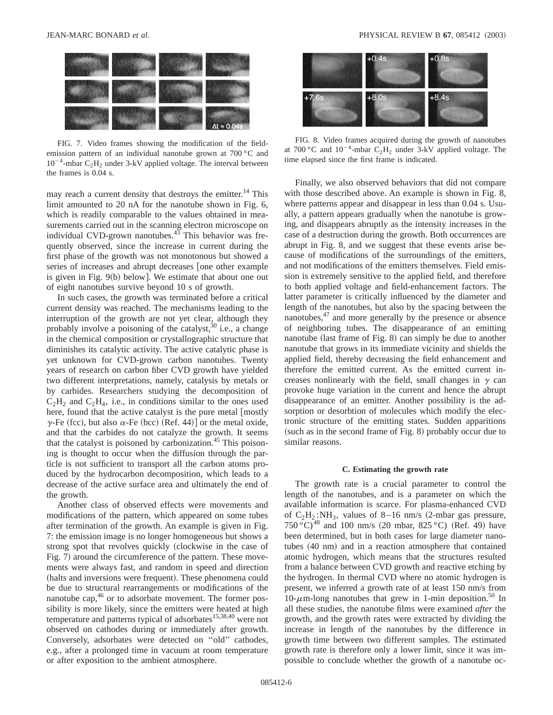

FIG. 7. Video frames showing the modification of the fieldemission pattern of an individual nanotube grown at 700 °C and  $10^{-4}$ -mbar C<sub>2</sub>H<sub>2</sub> under 3-kV applied voltage. The interval between the frames is 0.04 s.

may reach a current density that destroys the emitter.<sup>14</sup> This limit amounted to 20 nA for the nanotube shown in Fig. 6, which is readily comparable to the values obtained in measurements carried out in the scanning electron microscope on individual CVD-grown nanotubes. $4\overline{3}$  This behavior was frequently observed, since the increase in current during the first phase of the growth was not monotonous but showed a series of increases and abrupt decreases [one other example is given in Fig.  $9(b)$  below]. We estimate that about one out of eight nanotubes survive beyond 10 s of growth.

In such cases, the growth was terminated before a critical current density was reached. The mechanisms leading to the interruption of the growth are not yet clear, although they probably involve a poisoning of the catalyst,  $30$  i.e., a change in the chemical composition or crystallographic structure that diminishes its catalytic activity. The active catalytic phase is yet unknown for CVD-grown carbon nanotubes. Twenty years of research on carbon fiber CVD growth have yielded two different interpretations, namely, catalysis by metals or by carbides. Researchers studying the decomposition of  $C_2H_2$  and  $C_2H_4$ , i.e., in conditions similar to the ones used here, found that the active catalyst is the pure metal  $\lceil \text{mostly} \rceil$  $\gamma$ -Fe (fcc), but also  $\alpha$ -Fe (bcc) (Ref. 44)] or the metal oxide, and that the carbides do not catalyze the growth. It seems that the catalyst is poisoned by carbonization.<sup>45</sup> This poisoning is thought to occur when the diffusion through the particle is not sufficient to transport all the carbon atoms produced by the hydrocarbon decomposition, which leads to a decrease of the active surface area and ultimately the end of the growth.

Another class of observed effects were movements and modifications of the pattern, which appeared on some tubes after termination of the growth. An example is given in Fig. 7: the emission image is no longer homogeneous but shows a strong spot that revolves quickly (clockwise in the case of Fig. 7) around the circumference of the pattern. These movements were always fast, and random in speed and direction (halts and inversions were frequent). These phenomena could be due to structural rearrangements or modifications of the nanotube cap, $46$  or to adsorbate movement. The former possibility is more likely, since the emitters were heated at high temperature and patterns typical of adsorbates<sup>15,38,40</sup> were not observed on cathodes during or immediately after growth. Conversely, adsorbates were detected on ''old'' cathodes, e.g., after a prolonged time in vacuum at room temperature or after exposition to the ambient atmosphere.



FIG. 8. Video frames acquired during the growth of nanotubes at 700 °C and  $10^{-4}$ -mbar C<sub>2</sub>H<sub>2</sub> under 3-kV applied voltage. The time elapsed since the first frame is indicated.

Finally, we also observed behaviors that did not compare with those described above. An example is shown in Fig. 8, where patterns appear and disappear in less than 0.04 s. Usually, a pattern appears gradually when the nanotube is growing, and disappears abruptly as the intensity increases in the case of a destruction during the growth. Both occurrences are abrupt in Fig. 8, and we suggest that these events arise because of modifications of the surroundings of the emitters, and not modifications of the emitters themselves. Field emission is extremely sensitive to the applied field, and therefore to both applied voltage and field-enhancement factors. The latter parameter is critically influenced by the diameter and length of the nanotubes, but also by the spacing between the nanotubes, $47$  and more generally by the presence or absence of neighboring tubes. The disappearance of an emitting nanotube (last frame of Fig.  $8$ ) can simply be due to another nanotube that grows in its immediate vicinity and shields the applied field, thereby decreasing the field enhancement and therefore the emitted current. As the emitted current increases nonlinearly with the field, small changes in  $\gamma$  can provoke huge variation in the current and hence the abrupt disappearance of an emitter. Another possibility is the adsorption or desorbtion of molecules which modify the electronic structure of the emitting states. Sudden apparitions  $(such as in the second frame of Fig. 8) probably occur due to$ similar reasons.

#### **C. Estimating the growth rate**

The growth rate is a crucial parameter to control the length of the nanotubes, and is a parameter on which the available information is scarce. For plasma-enhanced CVD of  $C_2H_2$ :NH<sub>3</sub>, values of 8–16 nm/s (2-mbar gas pressure,  $750 \degree C$ <sup>48</sup> and 100 nm/s (20 mbar, 825 °C) (Ref. 49) have been determined, but in both cases for large diameter nanotubes  $(40 \text{ nm})$  and in a reaction atmosphere that contained atomic hydrogen, which means that the structures resulted from a balance between CVD growth and reactive etching by the hydrogen. In thermal CVD where no atomic hydrogen is present, we inferred a growth rate of at least 150 nm/s from 10- $\mu$ m-long nanotubes that grew in 1-min deposition.<sup>50</sup> In all these studies, the nanotube films were examined *after* the growth, and the growth rates were extracted by dividing the increase in length of the nanotubes by the difference in growth time between two different samples. The estimated growth rate is therefore only a lower limit, since it was impossible to conclude whether the growth of a nanotube oc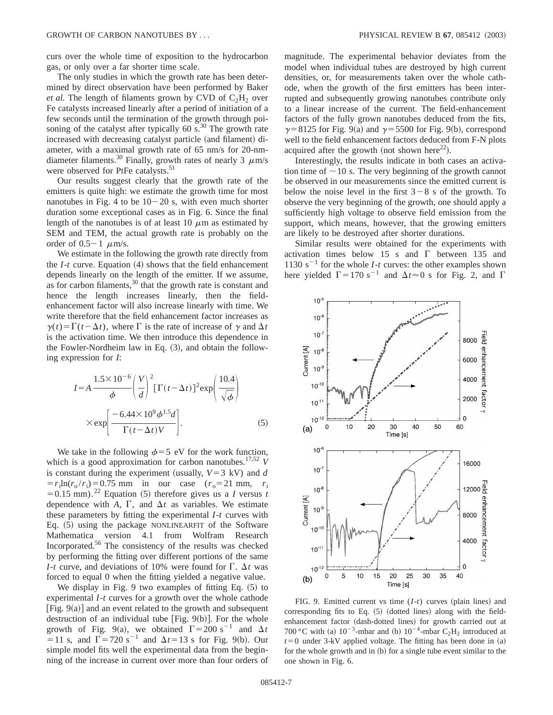curs over the whole time of exposition to the hydrocarbon gas, or only over a far shorter time scale.

The only studies in which the growth rate has been determined by direct observation have been performed by Baker *et al.* The length of filaments grown by CVD of  $C_2H_2$  over Fe catalysts increased linearly after a period of initiation of a few seconds until the termination of the growth through poisoning of the catalyst after typically  $60 \text{ s}^{30}$ . The growth rate increased with decreasing catalyst particle (and filament) diameter, with a maximal growth rate of 65 nm/s for 20-nmdiameter filaments.<sup>30</sup> Finally, growth rates of nearly 3  $\mu$ m/s were observed for PtFe catalysts.<sup>51</sup>

Our results suggest clearly that the growth rate of the emitters is quite high: we estimate the growth time for most nanotubes in Fig. 4 to be  $10-20$  s, with even much shorter duration some exceptional cases as in Fig. 6. Since the final length of the nanotubes is of at least 10  $\mu$ m as estimated by SEM and TEM, the actual growth rate is probably on the order of  $0.5-1$   $\mu$ m/s.

We estimate in the following the growth rate directly from the  $I-t$  curve. Equation  $(4)$  shows that the field enhancement depends linearly on the length of the emitter. If we assume, as for carbon filaments, $30$  that the growth rate is constant and hence the length increases linearly, then the fieldenhancement factor will also increase linearly with time. We write therefore that the field enhancement factor increases as  $\gamma(t) = \Gamma(t - \Delta t)$ , where  $\Gamma$  is the rate of increase of  $\gamma$  and  $\Delta t$ is the activation time. We then introduce this dependence in the Fowler-Nordheim law in Eq.  $(3)$ , and obtain the following expression for *I*:

$$
I = A \frac{1.5 \times 10^{-6}}{\phi} \left(\frac{V}{d}\right)^2 \left[\Gamma(t - \Delta t)\right]^2 \exp\left(\frac{10.4}{\sqrt{\phi}}\right)
$$

$$
\times \exp\left[\frac{-6.44 \times 10^9 \phi^{1.5} d}{\Gamma(t - \Delta t)V}\right].
$$
 (5)

We take in the following  $\phi=5$  eV for the work function, which is a good approximation for carbon nanotubes.<sup>17,52</sup> *V* is constant during the experiment (usually,  $V=3$  kV) and *d*  $= r_i \ln(r_0/r_i) = 0.75$  mm in our case  $(r_0 = 21$  mm,  $r_i$  $=0.15$  mm).<sup>22</sup> Equation (5) therefore gives us a *I* versus *t* dependence with A,  $\Gamma$ , and  $\Delta t$  as variables. We estimate these parameters by fitting the experimental *I*-*t* curves with Eq.  $(5)$  using the package NONLINEARFIT of the Software Mathematica version 4.1 from Wolfram Research Incorporated.56 The consistency of the results was checked by performing the fitting over different portions of the same *I*-*t* curve, and deviations of 10% were found for  $\Gamma$ .  $\Delta t$  was forced to equal 0 when the fitting yielded a negative value.

We display in Fig. 9 two examples of fitting Eq.  $(5)$  to experimental *I*-*t* curves for a growth over the whole cathode [Fig.  $9(a)$ ] and an event related to the growth and subsequent destruction of an individual tube [Fig.  $9(b)$ ]. For the whole growth of Fig. 9(a), we obtained  $\Gamma = 200 \text{ s}^{-1}$  and  $\Delta t$ = 11 s, and  $\Gamma$  = 720 s<sup>-1</sup> and  $\Delta t$  = 13 s for Fig. 9(b). Our simple model fits well the experimental data from the beginning of the increase in current over more than four orders of magnitude. The experimental behavior deviates from the model when individual tubes are destroyed by high current densities, or, for measurements taken over the whole cathode, when the growth of the first emitters has been interrupted and subsequently growing nanotubes contribute only to a linear increase of the current. The field-enhancement factors of the fully grown nanotubes deduced from the fits,  $\gamma$ =8125 for Fig. 9(a) and  $\gamma$ =5500 for Fig. 9(b), correspond well to the field enhancement factors deduced from F-N plots acquired after the growth (not shown here<sup>22</sup>).

Interestingly, the results indicate in both cases an activation time of  $\sim$  10 s. The very beginning of the growth cannot be observed in our measurements since the emitted current is below the noise level in the first  $3-8$  s of the growth. To observe the very beginning of the growth, one should apply a sufficiently high voltage to observe field emission from the support, which means, however, that the growing emitters are likely to be destroyed after shorter durations.

Similar results were obtained for the experiments with activation times below 15 s and  $\Gamma$  between 135 and 1130  $s^{-1}$  for the whole *I-t* curves: the other examples shown here yielded  $\Gamma = 170 \text{ s}^{-1}$  and  $\Delta t \approx 0 \text{ s}$  for Fig. 2, and  $\Gamma$ 



FIG. 9. Emitted current vs time  $(I-t)$  curves (plain lines) and corresponding fits to Eq.  $(5)$  (dotted lines) along with the fieldenhancement factor (dash-dotted lines) for growth carried out at 700 °C with (a)  $10^{-3}$ -mbar and (b)  $10^{-4}$ -mbar C<sub>2</sub>H<sub>2</sub> introduced at  $t=0$  under 3-kV applied voltage. The fitting has been done in  $(a)$ for the whole growth and in (b) for a single tube event similar to the one shown in Fig. 6.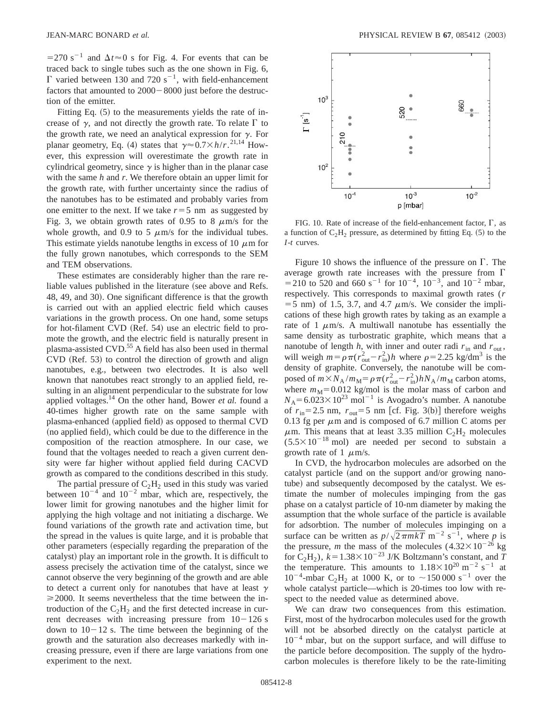=270 s<sup>-1</sup> and  $\Delta t \approx 0$  s for Fig. 4. For events that can be traced back to single tubes such as the one shown in Fig. 6,  $\Gamma$  varied between 130 and 720 s<sup>-1</sup>, with field-enhancement factors that amounted to  $2000 - 8000$  just before the destruction of the emitter.

Fitting Eq.  $(5)$  to the measurements yields the rate of increase of  $\gamma$ , and not directly the growth rate. To relate  $\Gamma$  to the growth rate, we need an analytical expression for  $\gamma$ . For planar geometry, Eq. (4) states that  $\gamma \approx 0.7 \times h/r$ .<sup>21,14</sup> However, this expression will overestimate the growth rate in cylindrical geometry, since  $\gamma$  is higher than in the planar case with the same *h* and *r*. We therefore obtain an upper limit for the growth rate, with further uncertainty since the radius of the nanotubes has to be estimated and probably varies from one emitter to the next. If we take  $r=5$  nm as suggested by Fig. 3, we obtain growth rates of 0.95 to 8  $\mu$ m/s for the whole growth, and 0.9 to 5  $\mu$ m/s for the individual tubes. This estimate yields nanotube lengths in excess of 10  $\mu$ m for the fully grown nanotubes, which corresponds to the SEM and TEM observations.

These estimates are considerably higher than the rare reliable values published in the literature (see above and Refs. 48, 49, and 30). One significant difference is that the growth is carried out with an applied electric field which causes variations in the growth process. On one hand, some setups for hot-filament CVD (Ref. 54) use an electric field to promote the growth, and the electric field is naturally present in plasma-assisted CVD.<sup>55</sup> A field has also been used in thermal  $CVD$  (Ref. 53) to control the direction of growth and align nanotubes, e.g., between two electrodes. It is also well known that nanotubes react strongly to an applied field, resulting in an alignment perpendicular to the substrate for low applied voltages.<sup>14</sup> On the other hand, Bower *et al.* found a 40-times higher growth rate on the same sample with plasma-enhanced (applied field) as opposed to thermal CVD (no applied field), which could be due to the difference in the composition of the reaction atmosphere. In our case, we found that the voltages needed to reach a given current density were far higher without applied field during CACVD growth as compared to the conditions described in this study.

The partial pressure of  $C_2H_2$  used in this study was varied between  $10^{-4}$  and  $10^{-2}$  mbar, which are, respectively, the lower limit for growing nanotubes and the higher limit for applying the high voltage and not initiating a discharge. We found variations of the growth rate and activation time, but the spread in the values is quite large, and it is probable that other parameters (especially regarding the preparation of the catalyst) play an important role in the growth. It is difficult to assess precisely the activation time of the catalyst, since we cannot observe the very beginning of the growth and are able to detect a current only for nanotubes that have at least  $\gamma$  $\geq$  2000. It seems nevertheless that the time between the introduction of the  $C_2H_2$  and the first detected increase in current decreases with increasing pressure from  $10-126$  s down to  $10-12$  s. The time between the beginning of the growth and the saturation also decreases markedly with increasing pressure, even if there are large variations from one experiment to the next.



FIG. 10. Rate of increase of the field-enhancement factor,  $\Gamma$ , as a function of  $C_2H_2$  pressure, as determined by fitting Eq. (5) to the *I*-*t* curves.

Figure 10 shows the influence of the pressure on  $\Gamma$ . The average growth rate increases with the pressure from  $\Gamma$ = 210 to 520 and 660 s<sup>-1</sup> for  $10^{-4}$ ,  $10^{-3}$ , and  $10^{-2}$  mbar, respectively. This corresponds to maximal growth rates (*r*  $=$  5 nm) of 1.5, 3.7, and 4.7  $\mu$ m/s. We consider the implications of these high growth rates by taking as an example a rate of 1  $\mu$ m/s. A multiwall nanotube has essentially the same density as turbostratic graphite, which means that a nanotube of length *h*, with inner and outer radi  $r_{\text{in}}$  and  $r_{\text{out}}$ , will weigh  $m = \rho \pi (r_{\text{out}}^2 - r_{\text{in}}^2) h$  where  $\rho = 2.25 \text{ kg/dm}^3$  is the density of graphite. Conversely, the nanotube will be composed of  $m \times N_A / m_M = \rho \pi (r_{out}^2 - r_{in}^2) h N_A / m_M$  carbon atoms, where  $m_M$ =0.012 kg/mol is the molar mass of carbon and  $N_A = 6.023 \times 10^{23}$  mol<sup>-1</sup> is Avogadro's number. A nanotube of  $r_{\text{in}}$ =2.5 nm,  $r_{\text{out}}$ =5 nm [cf. Fig. 3(b)] therefore weighs 0.13 fg per  $\mu$ m and is composed of 6.7 million C atoms per  $\mu$ m. This means that at least 3.35 million C<sub>2</sub>H<sub>2</sub> molecules  $(5.5 \times 10^{-18} \text{ mol})$  are needed per second to substain a growth rate of 1  $\mu$ m/s.

In CVD, the hydrocarbon molecules are adsorbed on the catalyst particle (and on the support and/or growing nanotube) and subsequently decomposed by the catalyst. We estimate the number of molecules impinging from the gas phase on a catalyst particle of 10-nm diameter by making the assumption that the whole surface of the particle is available for adsorbtion. The number of molecules impinging on a surface can be written as  $p/\sqrt{2\pi mkT}$  m<sup>-2</sup> s<sup>-1</sup>, where *p* is the pressure, *m* the mass of the molecules  $(4.32 \times 10^{-26} \text{ kg})$ for C<sub>2</sub>H<sub>2</sub>),  $k=1.38\times10^{-23}$  J/K Boltzmann's constant, and *T* the temperature. This amounts to  $1.18 \times 10^{20}$  m<sup>-2</sup> s<sup>-1</sup> at  $10^{-4}$ -mbar C<sub>2</sub>H<sub>2</sub> at 1000 K, or to  $\sim$ 150 000 s<sup>-1</sup> over the whole catalyst particle—which is 20-times too low with respect to the needed value as determined above.

We can draw two consequences from this estimation. First, most of the hydrocarbon molecules used for the growth will not be absorbed directly on the catalyst particle at  $10^{-4}$  mbar, but on the support surface, and will diffuse to the particle before decomposition. The supply of the hydrocarbon molecules is therefore likely to be the rate-limiting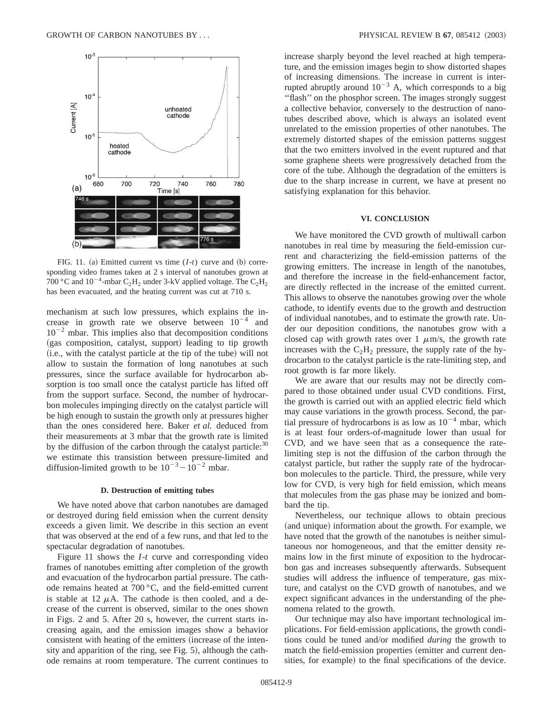

FIG. 11. (a) Emitted current vs time  $(I-t)$  curve and (b) corresponding video frames taken at 2 s interval of nanotubes grown at 700 °C and  $10^{-4}$ -mbar C<sub>2</sub>H<sub>2</sub> under 3-kV applied voltage. The C<sub>2</sub>H<sub>2</sub> has been evacuated, and the heating current was cut at 710 s.

mechanism at such low pressures, which explains the increase in growth rate we observe between  $10^{-4}$  and  $10^{-2}$  mbar. This implies also that decomposition conditions (gas composition, catalyst, support) leading to tip growth (i.e., with the catalyst particle at the tip of the tube) will not allow to sustain the formation of long nanotubes at such pressures, since the surface available for hydrocarbon absorption is too small once the catalyst particle has lifted off from the support surface. Second, the number of hydrocarbon molecules impinging directly on the catalyst particle will be high enough to sustain the growth only at pressures higher than the ones considered here. Baker *et al.* deduced from their measurements at 3 mbar that the growth rate is limited by the diffusion of the carbon through the catalyst particle: $30$ we estimate this transistion between pressure-limited and diffusion-limited growth to be  $10^{-3} - 10^{-2}$  mbar.

### **D. Destruction of emitting tubes**

We have noted above that carbon nanotubes are damaged or destroyed during field emission when the current density exceeds a given limit. We describe in this section an event that was observed at the end of a few runs, and that led to the spectacular degradation of nanotubes.

Figure 11 shows the *I*-*t* curve and corresponding video frames of nanotubes emitting after completion of the growth and evacuation of the hydrocarbon partial pressure. The cathode remains heated at 700 °C, and the field-emitted current is stable at 12  $\mu$ A. The cathode is then cooled, and a decrease of the current is observed, similar to the ones shown in Figs. 2 and 5. After 20 s, however, the current starts increasing again, and the emission images show a behavior consistent with heating of the emitters (increase of the intensity and apparition of the ring, see Fig.  $5$ ), although the cathode remains at room temperature. The current continues to increase sharply beyond the level reached at high temperature, and the emission images begin to show distorted shapes of increasing dimensions. The increase in current is interrupted abruptly around  $10^{-3}$  A, which corresponds to a big ''flash'' on the phosphor screen. The images strongly suggest a collective behavior, conversely to the destruction of nanotubes described above, which is always an isolated event unrelated to the emission properties of other nanotubes. The extremely distorted shapes of the emission patterns suggest that the two emitters involved in the event ruptured and that some graphene sheets were progressively detached from the core of the tube. Although the degradation of the emitters is due to the sharp increase in current, we have at present no satisfying explanation for this behavior.

#### **VI. CONCLUSION**

We have monitored the CVD growth of multiwall carbon nanotubes in real time by measuring the field-emission current and characterizing the field-emission patterns of the growing emitters. The increase in length of the nanotubes, and therefore the increase in the field-enhancement factor, are directly reflected in the increase of the emitted current. This allows to observe the nanotubes growing over the whole cathode, to identify events due to the growth and destruction of individual nanotubes, and to estimate the growth rate. Under our deposition conditions, the nanotubes grow with a closed cap with growth rates over 1  $\mu$ m/s, the growth rate increases with the  $C_2H_2$  pressure, the supply rate of the hydrocarbon to the catalyst particle is the rate-limiting step, and root growth is far more likely.

We are aware that our results may not be directly compared to those obtained under usual CVD conditions. First, the growth is carried out with an applied electric field which may cause variations in the growth process. Second, the partial pressure of hydrocarbons is as low as  $10^{-4}$  mbar, which is at least four orders-of-magnitude lower than usual for CVD, and we have seen that as a consequence the ratelimiting step is not the diffusion of the carbon through the catalyst particle, but rather the supply rate of the hydrocarbon molecules to the particle. Third, the pressure, while very low for CVD, is very high for field emission, which means that molecules from the gas phase may be ionized and bombard the tip.

Nevertheless, our technique allows to obtain precious (and unique) information about the growth. For example, we have noted that the growth of the nanotubes is neither simultaneous nor homogeneous, and that the emitter density remains low in the first minute of exposition to the hydrocarbon gas and increases subsequently afterwards. Subsequent studies will address the influence of temperature, gas mixture, and catalyst on the CVD growth of nanotubes, and we expect significant advances in the understanding of the phenomena related to the growth.

Our technique may also have important technological implications. For field-emission applications, the growth conditions could be tuned and/or modified *during* the growth to match the field-emission properties (emitter and current densities, for example) to the final specifications of the device.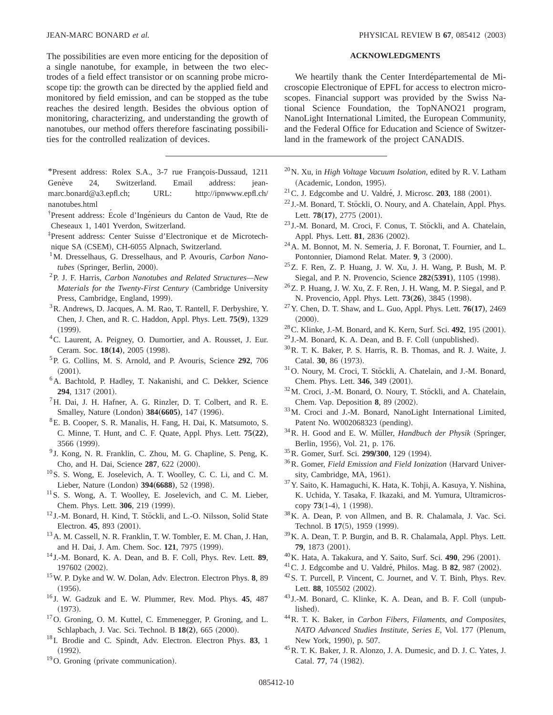The possibilities are even more enticing for the deposition of a single nanotube, for example, in between the two electrodes of a field effect transistor or on scanning probe microscope tip: the growth can be directed by the applied field and monitored by field emission, and can be stopped as the tube reaches the desired length. Besides the obvious option of monitoring, characterizing, and understanding the growth of nanotubes, our method offers therefore fascinating possibilities for the controlled realization of devices.

\*Present address: Rolex S.A., 3-7 rue François-Dussaud, 1211 Genève 24, Switzerland. Email address: jeanmarc.bonard@a3.epfl.ch; URL: http://ipnwww.epfl.ch/ nanotubes.html

- <sup>†</sup>Present address: École d'Ingénieurs du Canton de Vaud, Rte de Cheseaux 1, 1401 Yverdon, Switzerland.
- ‡ Present address: Center Suisse d'Electronique et de Microtechnique SA (CSEM), CH-6055 Alpnach, Switzerland.
- <sup>1</sup>M. Dresselhaus, G. Dresselhaus, and P. Avouris, *Carbon Nanotubes* (Springer, Berlin, 2000).
- 2P. J. F. Harris, *Carbon Nanotubes and Related Structures—New Materials for the Twenty-First Century* (Cambridge University Press, Cambridge, England, 1999).
- 3R. Andrews, D. Jacques, A. M. Rao, T. Rantell, F. Derbyshire, Y. Chen, J. Chen, and R. C. Haddon, Appl. Phys. Lett. **75**"**9**…, 1329  $(1999).$
- <sup>4</sup>C. Laurent, A. Peigney, O. Dumortier, and A. Rousset, J. Eur. Ceram. Soc. **18(14)**, 2005 (1998).<br><sup>5</sup>P. G. Collins, M. S. Arnold, and P. Avouris, Science **292**, 706
- $(2001).$
- 6A. Bachtold, P. Hadley, T. Nakanishi, and C. Dekker, Science **294**, 1317 (2001).
- 7H. Dai, J. H. Hafner, A. G. Rinzler, D. T. Colbert, and R. E. Smalley, Nature (London) **384(6605**), 147 (1996).<br><sup>8</sup>E. B. Cooper, S. R. Manalis, H. Fang, H. Dai, K. Matsumoto, S.
- C. Minne, T. Hunt, and C. F. Quate, Appl. Phys. Lett. **75(22)**, 3566 (1999).
- <sup>9</sup> J. Kong, N. R. Franklin, C. Zhou, M. G. Chapline, S. Peng, K. Cho, and H. Dai, Science 287, 622 (2000).
- 10S. S. Wong, E. Joselevich, A. T. Woolley, C. C. Li, and C. M. Lieber, Nature (London) **394(6688**), 52 (1998). <sup>11</sup> S. S. Wong, A. T. Woolley, E. Joselevich, and C. M. Lieber,
- Chem. Phys. Lett. 306, 219 (1999).
- <sup>12</sup> J.-M. Bonard, H. Kind, T. Stöckli, and L.-O. Nilsson, Solid State Electron. **45**, 893 (2001).
- 13A. M. Cassell, N. R. Franklin, T. W. Tombler, E. M. Chan, J. Han, and H. Dai, J. Am. Chem. Soc. 121, 7975 (1999).
- <sup>14</sup> J.-M. Bonard, K. A. Dean, and B. F. Coll, Phys. Rev. Lett. **89**, 197602 (2002).
- 15W. P. Dyke and W. W. Dolan, Adv. Electron. Electron Phys. **8**, 89  $(1956).$
- <sup>16</sup> J. W. Gadzuk and E. W. Plummer, Rev. Mod. Phys. **45**, 487  $(1973).$
- <sup>17</sup>O. Groning, O. M. Kuttel, C. Emmenegger, P. Groning, and L. Schlapbach, J. Vac. Sci. Technol. B 18(2), 665 (2000). <sup>18</sup> I. Brodie and C. Spindt, Adv. Electron. Electron Phys. 83, 1
- $(1992).$
- $19$ O. Groning (private communication).

# **ACKNOWLEDGMENTS**

We heartily thank the Center Interdépartemental de Microscopie Electronique of EPFL for access to electron microscopes. Financial support was provided by the Swiss National Science Foundation, the TopNANO21 program, NanoLight International Limited, the European Community, and the Federal Office for Education and Science of Switzerland in the framework of the project CANADIS.

- 20N. Xu, in *High Voltage Vacuum Isolation*, edited by R. V. Latham (Academic, London, 1995).
- $21$ C. J. Edgcombe and U. Valdré, J. Microsc.  $203$ , 188  $(2001)$ .
- $22$  J.-M. Bonard, T. Stöckli, O. Noury, and A. Chatelain, Appl. Phys. Lett. **78(17)**, 2775 (2001). <sup>23</sup> J.-M. Bonard, M. Croci, F. Conus, T. Stöckli, and A. Chatelain,
- Appl. Phys. Lett. **81**, 2836 (2002).
- 24A. M. Bonnot, M. N. Semeria, J. F. Boronat, T. Fournier, and L. Pontonnier, Diamond Relat. Mater. 9, 3 (2000).
- 25Z. F. Ren, Z. P. Huang, J. W. Xu, J. H. Wang, P. Bush, M. P. Siegal, and P. N. Provencio, Science 282(5391), 1105 (1998). <sup>26</sup>Z. P. Huang, J. W. Xu, Z. F. Ren, J. H. Wang, M. P. Siegal, and P.
- 
- N. Provencio, Appl. Phys. Lett. **73(26)**, 3845 (1998). <sup>27</sup> Y. Chen, D. T. Shaw, and L. Guo, Appl. Phys. Lett. **76(17)**, 2469  $(2000).$
- <sup>28</sup> C. Klinke, J.-M. Bonard, and K. Kern, Surf. Sci. **492**, 195 (2001).
- $29$  J.-M. Bonard, K. A. Dean, and B. F. Coll (unpublished).
- 30R. T. K. Baker, P. S. Harris, R. B. Thomas, and R. J. Waite, J. Catal. 30, 86 (1973).
- $31$ O. Noury, M. Croci, T. Stöckli, A. Chatelain, and J.-M. Bonard, Chem. Phys. Lett. 346, 349 (2001).
- <sup>32</sup>M. Croci, J.-M. Bonard, O. Noury, T. Stöckli, and A. Chatelain, Chem. Vap. Deposition 8, 89 (2002).
- 33M. Croci and J.-M. Bonard, NanoLight International Limited, Patent No. W002068323 (pending).
- <sup>34</sup>R. H. Good and E. W. Müller, *Handbuch der Physik* (Springer, Berlin, 1956), Vol. 21, p. 176.
- <sup>35</sup> R. Gomer, Surf. Sci. **299/300**, 129 (1994).
- <sup>36</sup>R. Gomer, *Field Emission and Field Ionization* (Harvard University, Cambridge, MA, 1961).
- 37Y. Saito, K. Hamaguchi, K. Hata, K. Tohji, A. Kasuya, Y. Nishina, K. Uchida, Y. Tasaka, F. Ikazaki, and M. Yumura, Ultramicroscopy  $73(1-4)$ , 1  $(1998)$ .
- 38K. A. Dean, P. von Allmen, and B. R. Chalamala, J. Vac. Sci. Technol. B 17(5), 1959 (1999).
- 39K. A. Dean, T. P. Burgin, and B. R. Chalamala, Appl. Phys. Lett. **79**, 1873 (2001).
- <sup>40</sup> K. Hata, A. Takakura, and Y. Saito, Surf. Sci. **490**, 296 (2001).
- $^{41}$ C. J. Edgcombe and U. Valdré, Philos. Mag. B **82**, 987 (2002).
- 42S. T. Purcell, P. Vincent, C. Journet, and V. T. Binh, Phys. Rev. Lett. 88, 105502 (2002).
- $43$  J.-M. Bonard, C. Klinke, K. A. Dean, and B. F. Coll (unpublished).
- 44R. T. K. Baker, in *Carbon Fibers, Filaments, and Composites*, *NATO Advanced Studies Institute, Series E, Vol. 177 (Plenum,* New York, 1990), p. 507.
- 45R. T. K. Baker, J. R. Alonzo, J. A. Dumesic, and D. J. C. Yates, J. Catal. 77, 74 (1982).